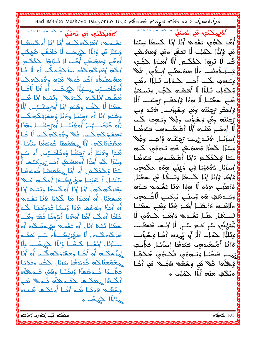Had Bshabo Meshoyo Daqyomto 10.2 مَسْتَعْلَمَ بَسْتَ بِهِ 4.01 Had Bshabo Meshoyo Daqyomto 6.35.45 an and a contract of cate 6/ 6.35.45  $\frac{1}{200}$ .01 .0 بلْمُعَةُ بِـُهُ رِمَنْكُبُوهُمْ تمُّــويلا: إقْزِيكُلوكْــلِهِ أُبُلَّ إِبُلَّ أُوكُسِعُــلِ أَهَٰذِ لِحَدُّوبِ تَغُوبُهِ أَمَّا إِمَّا كَسْعَا وَسَمْدًا وَعَتْلَا هُو وُالْمَلَّا حَيْجُب لَّا حُاجُفُ هَٰذِكُمْ هَٰیٖ وُآٰبِٱٓا ۖ ۡ کَٰۂَ اِ لَّا تَحِفُّےٖ ہِ هُی وَۡعِدۡہَ ۡھُی خَبِ لَا تَرِهَا حَدُكُمٍ. أَلَّا أَهْتَهَا حَجَّمٍ أُهمَّى وَهِهَيمَّى أَشَّب لَّا شَارُرْهَا لِلْمُكُلُّمِ. أَكْنَ إِمْرَكْمِكْتُمْ سِلَكْتُمِكْتُ أُو لًا ضُل أَوَّسأَىٰذُوسُبِ وَلَّا هِمَّىهِشَبِ ٱبْنُدُوبِ ۖ ثَلا هدهٔ هنگهٔ اکّ شُملا مْدْرُه وَوُّه حْدِيمَ <mark>َ</mark> وَسُـُدِدِ لَكُــد أُجــد كــدُلِم تَـللِّهُ الْمَعْلَى أَوْحَاحُبَّتِ حِبَيْدًا حَيْحَبَ أَو أَنَا لَأَحُبَ وَّحْدُبُكَ تَـٰلِمُّا لَّا أَهْشَرُه حَجَّزٍ. وتَسَنَّهَلِ هُكُم إِبْلِكُم كُرْهَلا ، وِتَسْلَا إِبْلَ هُب أَمْبِ هِكْسًا لَا هِهَٰا وْاحْشَـٰبِ رُحِسُــٰ ٱلْلَّا هِيَّنَا لَّا حَثَبَ وَهُنَّعَ إِنَّا أَوْرَجِنَنَبِّبَ. أَلَّا وْالِحِثْمِ ۚ رَحِئْلُهُ ۚ وَهُمْ وَحَدِّوَٰٓتَ ۚ وَاللَّهَ ۚ وَجِنَ وهُمُع إِمَّا أَو رَجِئْنَا وَهُنَا وَهِجَرَهَ كَلَّهِ كَسَ أَرْجِئْنُهُ وَهُمْ وَجُودُكَ وَجُلاً وَسُهْجًا لَكُتَ (أُه حَاحَسِـــرُب) أُههَنُسْـــا أُهرْجِنُسْـــا وهَنْا لًا أُوخَـــر مْنْـــرَه أَلًا أَصَّـعُــــورمــ حَمَوهُـــا وْهِمُوزْكُلُوكْت. قُلْا وْۋُەڭلُوگْت لَّا ضُل إِسْتَئْسًا. ﴿ وَقَدَّى إِسْرَاءَ رَجِئْنَـ ۞ وُلَجِـب وَجَّلا مَحْمَدُ الْمُعْدَمَةُ إِنَّهُمْ الْمُؤْمَنَ مَنْ اللَّهُ مِنْ اللَّهُ مِنْ اللَّهُ مِنْ اللَّهُ مِن وْمِمْآل كُجُرًا هَعْتَهُ هُوَ شَتْهِ مُعَهُمْ كُلْتُهِ هُدْا وهَٰنُا أَه رْجِئْنَا وُهكَاكْتُوب أَه مِنْهِ مَتَنَا وَكَحُكُمْ وَٱللَّهُ أَهُبَعُنِيهِ وَاللَّهُ أَهْلِيَهُ وَالَّذِينَ وسُنْرًا لَكُمْ أَجْزًا أُوهِهُمْ لَمْ أَجَّبْ يُتَمَلِّكُمْ أَ إِسْتُمَارٍ. مُتَّقَوُّمَا فِي ذُلِكَ وَيَ مَنْ النُّمَارِ مَتْلَا وَحْكُكُمْ. أَه أَنْا حَقْفَضْلا خُوصُوطُ وْاهَٰ: وْامْا إِمْا كْسِعًا وْتَسْلَابُهْ هُمْ هِعَمَّا. مَنُوْسًا. أَ شَوْسًا هِجُوَجْهُمَّمَا أَحْكَمَ كَحِلا هُ/هنَّب جوَهَ» لَمْ هوهُ اللهُ عَشَمَه حَـٰٓرُه وثيركلاهكلهن أنْل إنْل أُهكْسِعْل وبُسْط إنْل وَسُــدِهُـدِ هُـدَ وَمُـمنُــح مُـرِكَعــح لَّاجُـــدودِ مُحمِّدًا. أَو أَمُّدَا هَا كَلاِمًا وَلَلْ يَهُولا ەلْاھْــە ەُ/ـتَىُــا اُھُــ: ھُنُا وَھْــى ـعْمَـُــا أَه أَجْرَا وعَمْقَهِ 6َهُ/ وَحَظِّ ثَمُوجُمْنَا كُـمّ حَاجًا أُهكُم أَهْلَ أُهوَّنُا أَجَوْجًا جُعَّرَ وهُـم تَستَكْلِ حَيُّا تَغْدِيهِ وْأَهْدِ كَيْوَى لَا هَعَنَا تَسْمَ إِثَا. أَو تَهُولا مَيْوَضَلَاهِ أَو تْلُوْلِمُّهِ مَيْرٍ كَنْظِرٍ مَيْنٍ لَّا إِنُنْفَ هُدَهُنَّتَ هْزِكْلِهِكْسْ. لَٰهُ هَذَا هُمْ الْمُحَمَّةُ مَيْسٍ كَعْنُدَ وَتَالَمَ الْكَمَاتِ ٱلْمَالِّي بَيْدَهِ أَجْلَ وَهَرَوْب مسْتَوْلَا. إِنْكُمْ لَكُنْدَ لَ وُإِيْلَا حَيْجُمْسَبْ وِلَٰلا ةَامُلْ أَهُبْعُبُدوهِ حَيُّدَهُٰلْ إِيجُنُّلْ فَجَّيْبَ يُخْمِكُ مِنْ أَوْ أَضَا وَهِمْ َوْذَا وَهُمْ اللَّهِ مِنْ أَوْ أَنَا أَيْبِ: خَبَجَّـٰـٰا وَتَـٰهِ٥ُم كُلْـِشُم مَلْـٰفَـٰا وَهُمَالِكُمْ دَمَّةَ مَا مِنْكُمْ مِنْكُمْ وَمَائِكُمْ وَمَاءَ وَّكْلُواْ ثَكَلَّا هُمْ وَهُعَكَدَ شَجَّىكَلَّا ثَمْ أُجَالَ كمُسْمَا كُدْهْدُا وُبِكْتْبَا وَهُوَى كُدْلَاهِ ه مُكْفٍ مْتَمَه } } [الكهاب \* أَكْتُرُهُ إِيهَٰذَا مِنْكُتُ بِهِ اللهِ عَلَيْهِ مِنْ اللهِ عَلَيْهِ مِنْ اللهِ عَلَيْهِ مِنْ وهُعَمِيهِ وَوَصَلِ هُدِ أَصَلِ أَوْمُكُنَّفٍ هُدَيْهِ اءُ الْمَالِ الْمَهْرَمَةِ مِنْ

تشابههم للإنكش بمقفى المتفقفة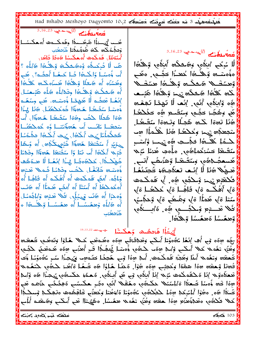Anad Bshabo Meshoyo Daqyomto 10.2 مَسْتَطْعَة شَاءَ Had Bshabo Meshoyo Daqyomto 10.2  $3.16.23$   $8.2.4$ هُــــــــــ أَيُّـــــزِياْ! هَٰزِهُــــــدهْ! وهَمكْـــده أَه هكْــنُـــــــــــــــــــــــــــــ وْحِدُّمُكُمْ كُلُّهُ ۚ هُوَ تُعِدُّمُ كَرْحِعُرْبَ 3.16.23  $\left(\sqrt{(n+1)^2 + 1/2}\right)$ أَمْتَصْلَ فَمكْمِعا أُمْمَكْسُلْ هُوَدًا دُاهُنّ. الْمِبْكَى ابِنْدِي وَهَـعَـدْهِ أَبِنْدُي وَكُـهُا هَٰٮ لَٰا خُرِكَىـدُه وُهِ،مَـعَـكُـرَه وَجَلَـٰهُا هَا،لُه ؟ أَبِ وُمِنْنَا وَالْحَنَّةَ إِنَّا كَنِهَا أَحَقَّمْ؟ . هَي ەۋەشىھ ۆكلەر گىچىدا خېئىمى مەك أَوَّهْشَفْ لَا شَعْكُ، وَلِلْأَلْثَا هُنَفْ لَا وَهُنَّدُه أَه هَٰتِكُمْ وَجَدُهُ هُنَّوَهُ كَلَّكُوهُ أَه هَمَكُــٰتِهِ وَلِكُــٰتُهُۥ وَشَا/لُم هَٰلُم هَٰئِـمِنَـٰلَ. لَّاهُ لَلأُهُ! هُـمْكُمْ بْهِيْزَ وَلِلذُهُ! هَبَّسِعْ إِنْهُا قُبْضُو لَٰا مُجِجْلا وُمِنْتُونَ هُبِ وَسُهُو رَّةُهِ وَإِنشَاهِ أَنَّهَ, إِنَّمَا لَا تَجِحْلِ تَجِمْرَهِ وْْمِسْا مَضُعُلا هَـْمَوْأَا شُمْحَكْمُنَا. هَالْ لِـزَّا هُم وهُجُـ; حَجَّـه ومَعْصُــم ۞ه حَكُـلاهُـا 86 هَدُلا حَدُّ و86 مَدَّمْدَ هَدَوَّالَ أَبْ هُنُا نَحْدًا حْدَثَ هَجِيًّا وَيْحَدَّا مُتَصَّعًا. شحعْكَ عَانَـْتَ أَبْ هَوَوَأَنْتَظَ وُو يُدْكَفُطْ مَجْعَدُوه إِلَيْهِمْ وَخُلِّكُمْ الْمُمَارِّدَةِ مِنْ الْمَحْسَنَةِ مِنْ هَدَهُمُنَا } هِ أَحْدُهُ لِ } هُ أَحْدُهُ الْمُدَمَّنَ لِكُما لِكُلُّهَٰا فَجَنِّـتِ هُوَيْحِبَ وُاُسْتِرِ حِجُجَ أَ مَحَّتَهْا هَوَوَّا كَرُوجِكُوْوِ وَ وَمَعَا مَّتَّمَعْلَ حَسُرْكُمْلِأُومِ. وَلَمْ صَاحَ هُزْمًا مُّرَبِّلا دُبِهِ أَكْمَا أَبِ سُا وَا سَفَتِهَا هَوَوَّا وَدْمَا هُسمجُـٰۂِهُٯٖۥ وَسُتُـُمْـا وُهِنَّىمُـِ ٱلْب كَهْلَــدُا. كَـلاهُوجًـا لِــزُا إنْهُـا لًا منهَمَف شَيْبًا هُنَا لَٰا إِنَّـم ثَمَلَاجِـهَٰۥ خُجِنَّتُمُـا وُّەسْبە كَانْشَا. حْكُس وِتْحْسًا شُمْحًا هُتْرُه وْلَجُم. أَبِكُ فَمِكْمِعِهِ أَه أَفْكُم أَه قُاهُا أَه ثَلْكَتْرَمْ يَهِمْ وُسْلَبُتُمْ ۚ وَهُ مِنْ أَوْ فَكُمْلُوهَا وَلَيْكُمْ مِنْ أُهنُدهَكُمُ أَه أَمَنْنَا أَه أَنفُ هُدَأَا أَه هَنَّت ەْ)، أَفُكْــه ەْ)، قُافُــا ەْ)، خْلاھُــا ەْ)، وُّهَدُا أَه هَنَّ يَجْبُلُ قَدْرُه هُـُوهِ وَٱلْمُعْصَلَ. مِيْسَاءَ) مَكَمَاءُ أَنْهُمْ وَهُنْهُمْ وَأَنْقُصْبُ وَالْمَشْمَرِ أَه 1⁄8أَه وْهَمُسُــا أَه همُسُــا وُلِكُــ1⁄9 ه َقُلا تَعْـــــْمِمْ وَُــحَجَّــــمٍ وَهُء. هَ/يَــــَدُّهِ، كأحمدت وَهمَسُا هَهمَسُا وَلِللَّهَا.

## 

رجَه وهَه فِي أَهِ إِنْمُا مُوْهُومُا أَسْكَى وَهْدِكَنِّي وهَهِ وهُجِهَنِي جَدِلًا هُاوْا وضَهْبِ خَمشِه وَهُنَى يَعْمَدُ كَذَلا أَسْكَبَ وَّاسِمْ هِوَمَا خَادَّوَى وَّوْمِتْنَا فَيُومُ الْحَدِّرِ أَهْدَّبَ هِوَهِ هَدفتني حَجَّمَى تَحْمَدُه وَتَمُّدَى أَمْلًا وَهُدِبْهُ فَدَكْدَهَا. أَنْظِ هِءُا فِي لَمُحِدِّلُ تَشَدُّهِت وَيُحِبُّل مَج تَوْهونُنا وَّف تُهِنَا وَعِعْدِهِ هِهَا هِمْهَا وِكْجِرْبٍ هِهُو هُوْلٍ مَحِبًا هَاوُا هُو تُعِمَّا وَاهُدِ كِـهُورٍ كَتَعْدِ تَعْعَلُوهُمْ إِنَّا وَحْقَوْهُمْ يَهْدَ إِنَّا أَبَثُلُوا فِي هَي أَبِثُلُوا. وَعَدَّةٌ ذَكَّرَ مَنْ ذَابِهِ هِوَا ذَهِ وُمِنًا شَعْدًا وَالْمَنَكَ حَكْمَوْهِ، مَعْقَلًا أَنَّهِ وَجِّرِ عَكْسَبٍ وَقِدَّنَّبٍ حَزَمت شَي ْضَمَٰا هَءٍ. ءهُوْا ٱلْمُبِكَّدِ هِءُلِّ كَحِكْدَهُمٍ مُّهُءوُنَا هَ/وَهُنَا وِكُعنَى خَافِقُهم وتَعِكْدِ وَسكبُا كَمِلًا فَكُنُّوهِ وَمُدَمُّوَهُ وَأَنْ هَدُوهُ وَهُنَّى تَعْمَدُ مَعْسَلًا. وَهَيْدَالُ مَن أَمْكَن وَهَيْشَا أَبْلَى

حَلْفُلُكُمْ مَرْمَوْمُ لِكُمُ مِنْ مَرْفَعُكُمْ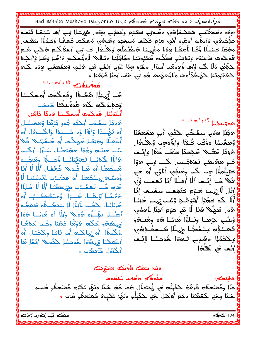Had Bshabo Meshoyo Daqyomto 10.2 مَسْتَطْعَة مَنْ عَبْدُ مَنْ 3.4 Had Bshabo Meshoyo Daqyomto هِهُه هَمْعَكُنْبِ هُمِنْكُمُوْهُمْ مَعُنُوْمٍ وَحُمْدٍ وَخُمْتِهِ هِهُمْ. هَيُسْأَأُ وْبِي أَفِ مَنُهْمَا قُلْعت تَجْكِبُثُورٍ وَٱخْفُتُ أُوهُرِهِ ٱللَّهِ هَزُمَ تَكْلُفُ وَسَعْجَمَ وَهُنَّتُورٍ وَهَكُلَّكَ تَحْفَظ وقشأه المكشف ەھْجَنًا حَسَّىلًا ذُكَّا مُعَقًّا ھِمَّا مِكْيِمًا ھَيْشُمْلُو مَِيْلُوْا. كَم فِي أَحْلَاكُمْ ھُكْب هُـمْ َفَمكُمِ خَنْدُسُه وَتَجْتَبِر حَجَّكُم مَّحْبُوتُمَا مَجَاجَلَهَا مَثَلَا الْمَوْجَعَكُم هَامَد وَمُا وْٱلْكِم لْكَلِّصُ وَٱلْكُتْ وَٰإِذِ وََّوِهِ مَّنَ أَسْرًا. مَغَيَّدَ وَوَٰهَ إِنَّهُمْ لَهُمْ وَلَى اللَّهُ وَمَعْمَعَه وَوَدَ كَلِّهِ للطَّفَبُوتُمَّا لِلْهُبِعُجَّاأُوهِ وَلَلْوُهِجُوهِ ۞ وَبِ هَٰفَ آَجِنًا خَاهَمَّا ﴾  $4.1.5$  o.l, (1) هُد }َي:إُا هَعَدهُ! وهَمكُمْ أُهمكُندُا وْدِيَّىمْكُلُو كُلُو هُوَتُسْلُمْنَا خَرْمَعْنِي أَمْتَالُنَا. هُمكُمْعَ أُمْحَكْسُلْ هُوَجًا خُلِّعًا.  $4.1.5$  o.l,  $\left(\frac{1}{2}\right)$   $\frac{1}{2}$   $\frac{1}{2}$ رَهُودًا سِعٌيقَت أَلاَدُه ذُهو ذُرَّقْنَا وْهِعُسْتَا. أَه تَجْتَ أَوَّاوَّا وَهِ حَـــَمَّا وَاحْـــوًا. أَه هُجُدًا ههَم سمُنجَّمٍ لِلْجُمِ أُمِرٍ همُعمُنَا أَعْكَالَ وَهَوْشَا مُوهِكُت أَو مُحَكِّلًا ۚ قَلا وَّههُمْما هَؤُكُما كُنْݣَالُ وْإِوَّاهِ هَمَا وَكَلَاهَا. مِّم وَهِدْ وَوَٰوَا هُوَهُ هُوَمَا. مُمْرًا. أَيْحُمْ رُوْدُا مْتَصَلًّا مْجْحَدًا حَزْحُب خُلًّا وابُــَ هَايْاً! كَلائِسًا تَعَرِّبْتَائِسًا وَْحِسْبًا! وِمْبِئِسَت كَمِ هِلْمَحْكَمِ تَعْلَاكُسْتِ لَكْسَتْ وْسَحْ الْمُوْلَ هْسكُعبُـل أَه هْـل شُـهِـلا خُـرْبُـهُـل. أَلْل لُل أُبْل حَجَّ أَوْمِلًا هو حَكَّ وَهُنجُم أَمْلَوُّ أَهْ هُبِ وْْهِمْمِيْنَ بِمُنْحُمْتُا. أَوْ هْجَرْجُتْ لْمُسْتَمَارِ لْلْمَسْتَمَارِ لْلْمَسْتَمَارِ َثَلًا ثَــز إِنْــم ٱلْلهُ أُهِــلُلا ٱلنُّل نَهِـمـب وُّلَ مْدَرِهِ حَــَـَ تَحَمَّنَهُـ مِنْ مِعْقَنَا أَلَّا لًا خَالِمًا إِثَارِ لَمَا يَهْدَمُ وَالْجَمْعَاتِ مَعْتَقَا إِثَارِ رَّەُمُكُمْ أَوُحِكُمْ. هُمْتِرَا - وُەمَئْتَعِعْظَمَــَرَّتْ أَهْ ٱلْمَالَكُمْ حَدُّوْا ٱلرُّوَٰوَعُكُمْ وَّسُبَ يَهْدَ هُٰذِكَمَا لَهُمْ الْمُؤْمَنَ هُزْعُلْهُا. حَدُب أَهْلَا لَا عْجَعَهُمْ مْعْقَدْ هُه. شَهْلًا هُنَا لَا شَى هِبْمِ آَجِبًا £ههُم، أَحِبُّ). بِجُبُّو وهُولًا إِذَا أَو هُزْسًا وَهُوَا وُمِنَّى حَزِّهُما وَسَّالَمَا هُزْسًا هَا وَهَمْسَهُوْ قَى هَلِيهَا وَحَدَثَ مَنْ وَقَوْمًا وَحَقَّقًا وَهُـب تَحَاهَدُ ا بَعْشَاءُ وَسْعُوبُهِ أَيْرِيْهِا مَثْلِيَّةٍ مِنْ أَمْسَمَهُ لْمَكْمَلَا. أَوْ يُهَاكُمُ أَبْ تُلْسًا وِكْخُسًا. أَوْ وَكَتَكَمُلَا دَهُمْنِي نَـْدَةَا ـِهُدَمِنُـا لِإِنْـم أَسَّكَمُا مِّيَّةُ الْمُحَمَّدِ الْأَمْرِيَّةِ الْكُمْلَا وَالْمُسَامَّةِ الْمُسَامَّةِ الْمُسَامَّةِ ا |إِنُم مَّع لَمْدُهُ| أَحْدُهُ الْأَنْفُذَبِ \* مثلونة مثلاثه منع من كْشُەللى بىر ئىش كىشەت  $\frac{1}{2}$ دَٰا وِحَمَنُعِدَاهِ فَزِعَٰنِهِ كَذَبِلَهِ ثَبِي يُحَتَمَلُّا. هَد حُنْ هَنل مَنَجْ: عَنْتِهِ حَمَنُعَذُر هُزب هَمُلْ وِهَبْ كَمْعَكْنْدْا هَكُمْ أَوْكُنْا. هَبْ حَكْبِلُو هَكَةٍ كَتَحْدِثَه كَعَنْعَكُمْو هُدْتِ م

تلنابه بالمتلكم سأم تلفظة

 $\frac{104}{104}$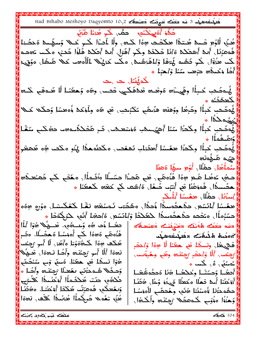Had Bshabo Meshoyo Daqyomto 10.2 مَسْتَعْلَمَ بَسْتَ مَنْ مَسْتَمْسَمَ بِهِ Had Bshabo Meshoyo Daqyomto 10.2 حُكُوْ أَهَٰ بِكُمُه مَعْدٍ. كُمْ هُوْمًا هُوْبً هُنَّىٰ لَّاوُمِ شَـمِـمْ هُـتمْا هكْشَتَ هِهُا كَـهِ. وِلَّا لمْتِوَا كُـبِ كَـلا وَسَهَّـمِمْ هَجَشَـزَا فَمِمْ ِئَلٍ. أَبِيم أَهْتَكُمْ وَأَنَا شَكْتُمْ وِكُنِّ أَفْرَلَ. أَبِيم أَصَّكُمْ قَالَوْا جُدْبٍ مكَّب تهوجه لَكْتَ هَاَوْٓا ۚ. لَكُنْ كَتَفْتُمْ لَيُّوْقَا وْٱلْقَوْشَكْمْ. مَكَّتْ كَوْلَكَ لِمَلَّأُوْهِتْ كَلا هَنَشَا. وَوُقِيْءَ أَهُا وَكَعَدَّاه حَرَّهم مَّنَّا وَٱحْرَا \* گەڭگا. ھ. بى لْمُحَمَّدِ كُـبِلًا وِفَيْءَ۞ هُومْد» شَدْفَكَــن تَحــب. و۞ه وَحَفَنُـا لَا شَــَاقَــنِ كَــُرُهُ <del>گىدەدُد</del>ە پ لْمَصَّحِبِ كَبِلًا وحُبِعُل ووُهلَه هَنُـمَّـى حَكْبُـحـِـ فِى هَا وَلَوْحُطْ وُّەھسُل وُحكَـلا حَـلا \* المُكموشُرْ لْمُحَمِّدِ كَبِلًا وكَحَزًا مَمَا أَهْهُـمك هَٰوْسْعَـك . ثُـم هَٰحْـكـدُّـــــوه حوُكْب مَغْـا وَاهُىڤُه أُل لُهجَمتِ كَبِلًا وكَحَا همَّسُا أَهدَانِ نَعْقَصَ. مكْتشَمدًا لِهَو مكْت وَّه هَيْعَقِر هآههُمهُ عربّه عَدْدُهُل. حمُلًا. أُوُم عَجُلاً وَمِثْلًا حسُّ مَعمُّل هُـم هِمَّا فُنُوهَى. مَى هَجِبًا حِسَبُّلَا وَاُثْجَلًا. وَحَمَّى كَي خَمْعَكُلُهِ هضَسمًا. فُودَهُمُا هَي أَتَبَت ضُغُل. وَاهْت كَي حُمْرَه كَمِعَمَا \* إِسْرَٰىٰلَ حِمَٰلًا . مِحْسَنًا ٱلْمَكَرِ هِمُسُلِ ٱلْمُتَمَعِ. حَكْمَحُمِيجُل ذُخِمَلَ. وَهُجُتِ شُوسُعُوه تَغْلِ خُمْكُسْلَ. وَوُرُو وَوَهُو حِسَّوَءاً!. مَحْجِم حَدَّهخُوسِدًا خَطَّحْجًا وَالمَتَسَّعِ. ةَاحْوَا أَنَّى خَرْجُتْوَا \* بالمستلقظ بالمكافية بالمستحقة المتألف المتحفظ المتحفظ حَصَّا وَجَدٍ وَهُو وَّسَــوَّوْنٍ. قَسَــمِيْلا وَوَدَا أَلَمَا فُتُوهَى وَهوَا ﴾ أُوفِسُا وَحَصَـٰلًا. وضَـ مقەشىقىق ھەنگە ئەنگەھىك هُكُلُّ وَهُمْ كُلُّوَّةُوَيْمْ هُأُهُدْ. لَا أُسِ رُجِسُ قَحْيُهُا. وِتَسَمَّا مَّع حَمَّنَا لَا هِوَا وَ/حَصْرِ تَّ أَلَّا أَمِر رَّحِنْنَـه وأَكُـا نَـهةَا. شَـهْلا ْ رَحِسُ. أَلَّا وَأَحْثَرِ رَحِسُّه وَهُــ وِهَرْفُــب. رَّةُوَا تَسْمَلُ هُوَ حَقَدًا. هَنْ وَبِ مَنْكُسَّ { شَمَعُبُ . هُ . كُنْمَتْ \* وَحـفُلا شَـْمئةَنَّى بِمَعْـلَا رْجِئْتُـِهِ وِأَحُـل م أُحعُــا وَحِنَتْـا وِحُكِـهُــا هُـُا هَحَـقَـفَـقُـطَــا تَكْتُوهِ حَنَّتْ هَكْشُمَاْ أَوْخُشُمَا لَكْتَبْهِي أَوْخُسُّا أَها دْهِلَا مَحْمَلًا مَّى ُو وَّعِنًا. هُكَنُـلًا وَبِمَعِكُمٍ هُومُ تَبْ مَخْذَا أَوْدُتُا. وَهُمَّنَا حَشُّدَخُوْلَا وُّصِمُعُدًا هُنُّعٍ ۖ وَهُحِمَّى ۖ لِأُوضِمُـل هُنَّهٖ تَعُمِيهٖ حُرِجُماً الهُ زَسُمَّا لَكَمْفٍ. ثَ9ةَ ا أَوَهُنُوا دُوْبٍ كُـدْهَكُمْ رُجِئْنُـْهِ وِلَكُـدُا. تلناهم بالخطر بمهذ تطفلخ  $\frac{104}{104}$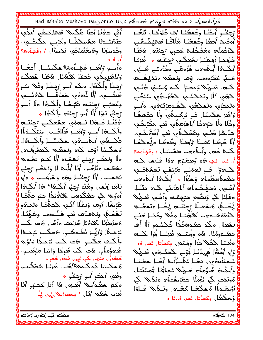Had Bshabo Meshoyo Daqyomto 10.2 مَسْتَعْلَمَ بَسْتَ بَعْدُ الْكُمْسَمْ Had Bshabo Meshoyo Daqyomto 10.2 أَفْ حَمُّلًا آَحَلًا هَكَّىلاً مَّدْلَمُّدَهَّمِ أَنَّذُهِ ۖ آجِئْنُــرٍ أَمكُنُــا وحَــعكَنُــا أَهــ خَاوْحُــا. تَاهَـــز أُهضَه أَحعُل وحَمعَنُـل هَٰلَلتَٰـل مْحَلِحُـمَّـب حنْقَصُدْنَا مَعَسَدَقْـا وكُرْبِ حَكْشُــهِ. وحُمىنُرُل وهَيعُثَمائُم تَمْسَٱل: / وقَمْ أُهِمَّ لْأَدُّه أَنْ مَعَدَّمُلُّكُمْ لَحَبَّى رَجِئْنَهِ. شَكَّلُّكُمْ |حَافِكُم أَقِكْتُمْ لَ**مُ**عَكَّمٍ رَحِنْتُمْ ﴾ هُزَ*نُ*ا ەأسىر ۋاھَد قىي ۋەھ9 مگىسُل أَحعُل أَكْسَرُهُ الْمَعْمَدِ فُنُوهَبِ وَخُوْمَبِ هُــَوْنِ. وْالمَّكِيجُوبِ حَصْنُا لِكَمُّمَّا. ھُضَّا لَحُعكَــهِ كَمِيَّةٍ كَتْتَبَاهَاهَمَا. أَوْهَا وَلَعْظُلا هَالْمَلْمَشْمَاهَا رْحِمْلُا وأَحْدَهُا. دَحْد أُسو رْحِمْنُـا وثَـلا مَـٰـرِ لْكُلُّهِ. هُـَهُلاً وَحَقَـٰٓةٍ! لَكُـه وَتَسَّـهُ ۖ هُنُـهِ بَعْسَفَ الصَّفَّاهُمْ وَهُوا اللَّهُ .. وَسَعْمَهُ لحدُّهِ ٱللَّا وتَعَلَّمُنَّهُم لَكُنَّهُنَّهُمْ مِّنُصُّبَ ودُدَّب رَحِنْـه هَّبُـمُـا وأكْــهُا هأا أُسـر ەتددۇە، ەتملىئە، لمەشەئېتتەۋە. ەأسو رْجِئَعُ نَزْوَا أَلَّا أَمِرٍ رَجِئْنَهِ وِأَحْدُّا ﴾ وْاهُمْ حَكْسُلْ. كَمْ يُرْكَحِدُّو، ولَا حِتْحِفًا. ھُکُنُـا ضُـۃنٓا نَـھوُم مَعَمَـلَـــ رُحِنْنَــھ وِضًا ولَا حَرَهجُا ٱلمَوَّهِ وَهُمْ مَعْ حَجَّيْهُم وأَحْدَهُا أَسِرٍ وْاهَدٍ; هَٰلَاقَـبٍ. مَتنكَــٰهُـلُّا هِتَمِمْا هُنُـمٍ وِمُصْــٰـٰهُمٍ مْبِي أُحُقُّـضُمٍ. ئُكْتُوبُ أَحَكْتُوبٌ حَكْتَتْهَا وَأَحْتُواْ. أَلَّا حَرِهُما مَعْسُرًا وَاهِدًا وِهُدِهُما وَيُدَهُمَا ەْھگىسًا أَوْهَا ݣَاتْ وْتْھتَكْلا ݣْلْكْفْرْقْلُهِ. لَّكْتُكُمْ دُهُو. وأَنْكُلُوهَمْ هَقَيْسُلُ. / وَقَوْءُوهُ؟ ەلَّا وِنْدَكْمْ رُحِبُ نُعْفَـْهِ ٱلَّا كُــْمَ تَغُـُّـهِ ْ أ. ٹس ٹی 6ہ وَهگرم وہ او گرُها گُش بعُشْم دَلَامُ: ، أَنَا أَلَمْهَ لَا وَاحْشَرْ رَحِبُ لكَ هُوْا. كُلّْ نَهْدَتُ هَٰٓ يَتَمُّلْ تَقْعُلَاشُمْهِ لَّٰهِمَــٰ }لَّا ٱرۡحِنُنَـٰا وِهُهٖ وِهَٰٓزُوۡنَــٰبَ ﴾ [ا حَقْعَكُمْ مَنْشَاءُ وَحَزْوَا ﴾ [الْكَنْدُ الْمَكْمَونَ تَاهَٰذ إِنَّف. وهَنَّه رُحِبُ أَحْدَهُ!؟ هَا أَحْدِهُ! أَحْمٍ. هَجِهُجُماً هُ ٱلمَّنِبُ كُلهِ جَنَّا. أُوكِي كُلِّ حَقَنُدُوهِ لَلْاتَّقُدُمُ إِحْمَرِ حَذَّهُا ا ەفَامُا كُمْ وَىئْدەر دېچىْنە وِأُشُمْ شَــوْلًا هَّبَـٰقًا. ٱوْهـٰ وُبِـفُلَا ٱنَّـٰهِ ۖ كَحَذَّفَـٰا هِنْـٰهُو تُقَعُـكَٰہٖ وِلَـاهــَٓ;َٰٓڡ شَـح هَـتَنَــه وَصَـهُـُـدًا. لْمُعْدَهُـــده بِ لَلاُثُمْـَـا مِثْلاً وِحُدْ ا مْنَح ەَهلَهْزُىل ݣْلاھْمْلْ هُدْتْهِ وْأَهْزِ. ھَوَ كُب بِمُعْلَلٍ. وَكُمْ حَعَدَةِكُمَّا كَكِسُومٍ ٱلْلَّهُ أَفْ ـُبُـْــدًا وْ/يُــز تُعْــةطَــر. 5حكـــد ــُبْـنــدًا حعَكَ:وهُمُّال هُو وذُهْبِ هُوْسًا ذُوْلِ حُدِي وأَكْـد مْتّْكْــر. هُد كْـد عْكِدْأَا وْأَوُلَا هِ مُحْشَلِ حَكُلاً حَزًّا ۖ وَقُسْعَ ﴾ وحَجَزَتُهَا وَ عَدَّ وَ هُ وَ عَدْ ھُھوُملُر. ھَت كُت ھُبِكَا وُاُسْا ھَبُھُتَرَ. وْلِ أَحُثْنَا فَيَتُبُدُ ذُوْبٍ لَحْطَنَـٰهُۖ وَ هُـٰهُـٰ ۖ هُرهُووُل مِتْمِي. لَّكُنْ تُبِي، مُّدْهِ، مُّعَمَّ \* شَملؤُنوڤُوب. فعُنْدا مُكَسِّزُنُكُمْ أَكْسا حَعَكْتُنْدا ەْھگىسًا قەڭدەھ ؒأَهُد: ، ھُزْسًا ھَتْكَسَب وِٱلطَّنَّة هُزَوُّه أَهْ هُدَيْلاً شَمْلَةُ لَا قُومُنُسَّلَ. وهُم أَحدٌ أُمو رُحِمُّو \* هُوتَدَتْمٍ كُي كُتُّوءاً! حَكَبُهُمَاتُو وتَثَلُّلًا كُلِّي مَكْمِ هِقُواْمِلاً أَهَدَهِ. 16 أَنْا كُحِبْرِ أَنَا أَوُّحْشَـٰماً الْمَعْكَمُـا كَعْنَـرِهِ . وتَـٰهُـلا فَـٰاؤُا هُذب هُعَكِلا إِنَّا. / وهعدالله: في: فيُّ وَحِكْمُلْ. وِتَحَتُّرًا. مَّد. هُ. مَّا مَ

تشابههم للإنكش بمقفى المتفقفة